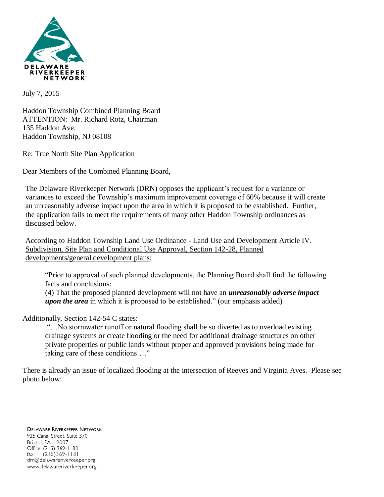

July 7, 2015

Haddon Township Combined Planning Board ATTENTION: Mr. Richard Rotz, Chairman 135 Haddon Ave. Haddon Township, NJ 08108

Re: True North Site Plan Application

Dear Members of the Combined Planning Board,

The Delaware Riverkeeper Network (DRN) opposes the applicant's request for a variance or variances to exceed the Township's maximum improvement coverage of 60% because it will create an unreasonably adverse impact upon the area in which it is proposed to be established. Further, the application fails to meet the requirements of many other Haddon Township ordinances as discussed below.

According to Haddon Township Land Use Ordinance - Land Use and Development Article IV. Subdivision, Site Plan and Conditional Use Approval, Section 142-28, Planned developments/general development plans:

"Prior to approval of such planned developments, the Planning Board shall find the following facts and conclusions:

(4) That the proposed planned development will not have an *unreasonably adverse impact upon the area* in which it is proposed to be established." (our emphasis added)

Additionally, Section 142-54 C states:

"…No stormwater runoff or natural flooding shall be so diverted as to overload existing drainage systems or create flooding or the need for additional drainage structures on other private properties or public lands without proper and approved provisions being made for taking care of these conditions…."

There is already an issue of localized flooding at the intersection of Reeves and Virginia Aves. Please see photo below:

**DELAWARE RIVERKEEPER NETWORK** 925 Canal Street, Suite 3701 Bristol, PA 19007 Office: (215) 369-1188  $(215)369 - 1181$ fax: drn@delawareriverkeeper.org www.delawareriverkeeper.org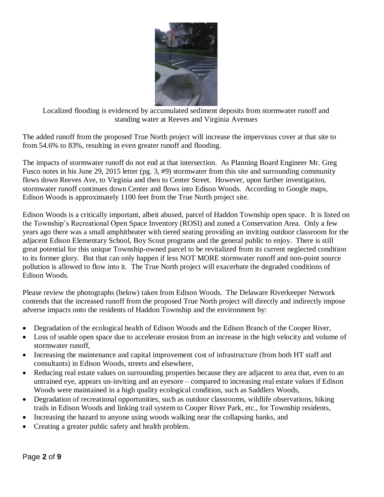

Localized flooding is evidenced by accumulated sediment deposits from stormwater runoff and standing water at Reeves and Virginia Avenues

The added runoff from the proposed True North project will increase the impervious cover at that site to from 54.6% to 83%, resulting in even greater runoff and flooding.

The impacts of stormwater runoff do not end at that intersection. As Planning Board Engineer Mr. Greg Fusco notes in his June 29, 2015 letter (pg. 3, #9) stormwater from this site and surrounding community flows down Reeves Ave, to Virginia and then to Center Street. However, upon further investigation, stormwater runoff continues down Center and flows into Edison Woods. According to Google maps, Edison Woods is approximately 1100 feet from the True North project site.

Edison Woods is a critically important, albeit abused, parcel of Haddon Township open space. It is listed on the Township's Recreational Open Space Inventory (ROSI) and zoned a Conservation Area. Only a few years ago there was a small amphitheater with tiered seating providing an inviting outdoor classroom for the adjacent Edison Elementary School, Boy Scout programs and the general public to enjoy. There is still great potential for this unique Township-owned parcel to be revitalized from its current neglected condition to its former glory. But that can only happen if less NOT MORE stormwater runoff and non-point source pollution is allowed to flow into it. The True North project will exacerbate the degraded conditions of Edison Woods.

Please review the photographs (below) taken from Edison Woods. The Delaware Riverkeeper Network contends that the increased runoff from the proposed True North project will directly and indirectly impose adverse impacts onto the residents of Haddon Township and the environment by:

- Degradation of the ecological health of Edison Woods and the Edison Branch of the Cooper River,
- Loss of usable open space due to accelerate erosion from an increase in the high velocity and volume of stormwater runoff,
- Increasing the maintenance and capital improvement cost of infrastructure (from both HT staff and consultants) in Edison Woods, streets and elsewhere,
- Reducing real estate values on surrounding properties because they are adjacent to area that, even to an untrained eye, appears un-inviting and an eyesore – compared to increasing real estate values if Edison Woods were maintained in a high quality ecological condition, such as Saddlers Woods,
- Degradation of recreational opportunities, such as outdoor classrooms, wildlife observations, hiking trails in Edison Woods and linking trail system to Cooper River Park, etc., for Township residents,
- Increasing the hazard to anyone using woods walking near the collapsing banks, and
- Creating a greater public safety and health problem.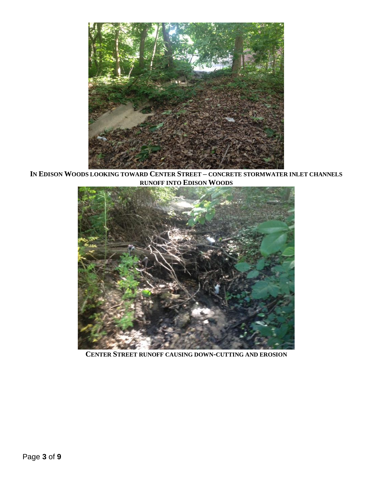

**IN EDISON WOODS LOOKING TOWARD CENTER STREET – CONCRETE STORMWATER INLET CHANNELS RUNOFF INTO EDISON WOODS**



**CENTER STREET RUNOFF CAUSING DOWN-CUTTING AND EROSION**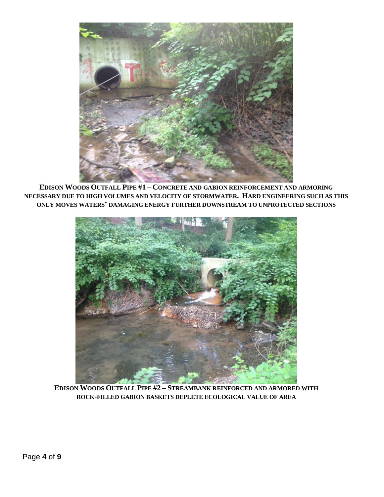

**EDISON WOODS OUTFALL PIPE #1 – CONCRETE AND GABION REINFORCEMENT AND ARMORING NECESSARY DUE TO HIGH VOLUMES AND VELOCITY OF STORMWATER. HARD ENGINEERING SUCH AS THIS ONLY MOVES WATERS' DAMAGING ENERGY FURTHER DOWNSTREAM TO UNPROTECTED SECTIONS**



**EDISON WOODS OUTFALL PIPE #2 – STREAMBANK REINFORCED AND ARMORED WITH ROCK-FILLED GABION BASKETS DEPLETE ECOLOGICAL VALUE OF AREA**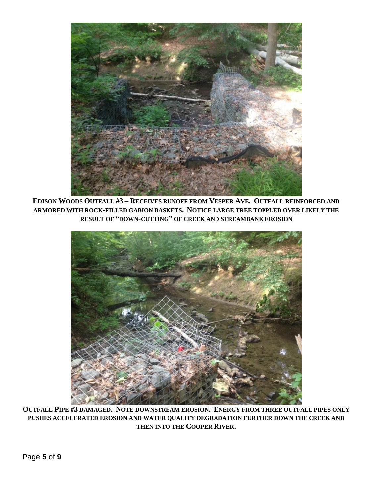

**EDISON WOODS OUTFALL #3 – RECEIVES RUNOFF FROM VESPER AVE. OUTFALL REINFORCED AND ARMORED WITH ROCK-FILLED GABION BASKETS. NOTICE LARGE TREE TOPPLED OVER LIKELY THE RESULT OF "DOWN-CUTTING" OF CREEK AND STREAMBANK EROSION**



**OUTFALL PIPE #3 DAMAGED. NOTE DOWNSTREAM EROSION. ENERGY FROM THREE OUTFALL PIPES ONLY PUSHES ACCELERATED EROSION AND WATER QUALITY DEGRADATION FURTHER DOWN THE CREEK AND THEN INTO THE COOPER RIVER.**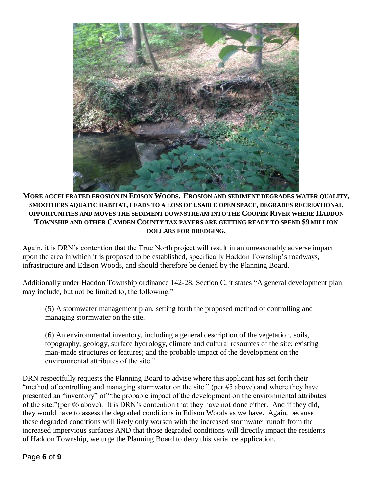

**MORE ACCELERATED EROSION IN EDISON WOODS. EROSION AND SEDIMENT DEGRADES WATER QUALITY, SMOOTHERS AQUATIC HABITAT, LEADS TO A LOSS OF USABLE OPEN SPACE, DEGRADES RECREATIONAL OPPORTUNITIES AND MOVES THE SEDIMENT DOWNSTREAM INTO THE COOPER RIVER WHERE HADDON TOWNSHIP AND OTHER CAMDEN COUNTY TAX PAYERS ARE GETTING READY TO SPEND \$9 MILLION DOLLARS FOR DREDGING.**

Again, it is DRN's contention that the True North project will result in an unreasonably adverse impact upon the area in which it is proposed to be established, specifically Haddon Township's roadways, infrastructure and Edison Woods, and should therefore be denied by the Planning Board.

Additionally under Haddon Township ordinance 142-28, Section C, it states "A general development plan may include, but not be limited to, the following:"

(5) A stormwater management plan, setting forth the proposed method of controlling and managing stormwater on the site.

(6) An environmental inventory, including a general description of the vegetation, soils, topography, geology, surface hydrology, climate and cultural resources of the site; existing man-made structures or features; and the probable impact of the development on the environmental attributes of the site."

DRN respectfully requests the Planning Board to advise where this applicant has set forth their "method of controlling and managing stormwater on the site." (per #5 above) and where they have presented an "inventory" of "the probable impact of the development on the environmental attributes of the site."(per #6 above). It is DRN's contention that they have not done either. And if they did, they would have to assess the degraded conditions in Edison Woods as we have. Again, because these degraded conditions will likely only worsen with the increased stormwater runoff from the increased impervious surfaces AND that those degraded conditions will directly impact the residents of Haddon Township, we urge the Planning Board to deny this variance application.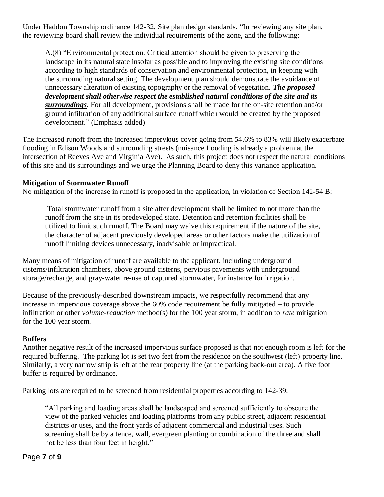Under Haddon Township ordinance 142-32, Site plan design standards, "In reviewing any site plan, the reviewing board shall review the individual requirements of the zone, and the following:

A.(8) "Environmental protection. Critical attention should be given to preserving the landscape in its natural state insofar as possible and to improving the existing site conditions according to high standards of conservation and environmental protection, in keeping with the surrounding natural setting. The development plan should demonstrate the avoidance of unnecessary alteration of existing topography or the removal of vegetation. *The proposed development shall otherwise respect the established natural conditions of the site and its surroundings.* For all development, provisions shall be made for the on-site retention and/or ground infiltration of any additional surface runoff which would be created by the proposed development." (Emphasis added)

The increased runoff from the increased impervious cover going from 54.6% to 83% will likely exacerbate flooding in Edison Woods and surrounding streets (nuisance flooding is already a problem at the intersection of Reeves Ave and Virginia Ave). As such, this project does not respect the natural conditions of this site and its surroundings and we urge the Planning Board to deny this variance application.

## **Mitigation of Stormwater Runoff**

No mitigation of the increase in runoff is proposed in the application, in violation of Section 142-54 B:

Total stormwater runoff from a site after development shall be limited to not more than the runoff from the site in its predeveloped state. Detention and retention facilities shall be utilized to limit such runoff. The Board may waive this requirement if the nature of the site, the character of adjacent previously developed areas or other factors make the utilization of runoff limiting devices unnecessary, inadvisable or impractical.

Many means of mitigation of runoff are available to the applicant, including underground cisterns/infiltration chambers, above ground cisterns, pervious pavements with underground storage/recharge, and gray-water re-use of captured stormwater, for instance for irrigation.

Because of the previously-described downstream impacts, we respectfully recommend that any increase in impervious coverage above the 60% code requirement be fully mitigated – to provide infiltration or other *volume-reduction* method(s) for the 100 year storm, in addition to *rate* mitigation for the 100 year storm.

# **Buffers**

Another negative result of the increased impervious surface proposed is that not enough room is left for the required buffering. The parking lot is set two feet from the residence on the southwest (left) property line. Similarly, a very narrow strip is left at the rear property line (at the parking back-out area). A five foot buffer is required by ordinance.

Parking lots are required to be screened from residential properties according to 142-39:

"All parking and loading areas shall be landscaped and screened sufficiently to obscure the view of the parked vehicles and loading platforms from any public street, adjacent residential districts or uses, and the front yards of adjacent commercial and industrial uses. Such screening shall be by a fence, wall, evergreen planting or combination of the three and shall not be less than four feet in height."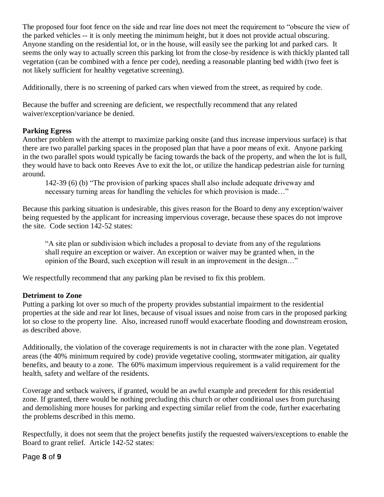The proposed four foot fence on the side and rear line does not meet the requirement to "obscure the view of the parked vehicles -- it is only meeting the minimum height, but it does not provide actual obscuring. Anyone standing on the residential lot, or in the house, will easily see the parking lot and parked cars. It seems the only way to actually screen this parking lot from the close-by residence is with thickly planted tall vegetation (can be combined with a fence per code), needing a reasonable planting bed width (two feet is not likely sufficient for healthy vegetative screening).

Additionally, there is no screening of parked cars when viewed from the street, as required by code.

Because the buffer and screening are deficient, we respectfully recommend that any related waiver/exception/variance be denied.

## **Parking Egress**

Another problem with the attempt to maximize parking onsite (and thus increase impervious surface) is that there are two parallel parking spaces in the proposed plan that have a poor means of exit. Anyone parking in the two parallel spots would typically be facing towards the back of the property, and when the lot is full, they would have to back onto Reeves Ave to exit the lot, or utilize the handicap pedestrian aisle for turning around.

142-39 (6) (b) "The provision of parking spaces shall also include adequate driveway and necessary turning areas for handling the vehicles for which provision is made…"

Because this parking situation is undesirable, this gives reason for the Board to deny any exception/waiver being requested by the applicant for increasing impervious coverage, because these spaces do not improve the site. Code section 142-52 states:

"A site plan or subdivision which includes a proposal to deviate from any of the regulations shall require an exception or waiver. An exception or waiver may be granted when, in the opinion of the Board, such exception will result in an improvement in the design…"

We respectfully recommend that any parking plan be revised to fix this problem.

## **Detriment to Zone**

Putting a parking lot over so much of the property provides substantial impairment to the residential properties at the side and rear lot lines, because of visual issues and noise from cars in the proposed parking lot so close to the property line. Also, increased runoff would exacerbate flooding and downstream erosion, as described above.

Additionally, the violation of the coverage requirements is not in character with the zone plan. Vegetated areas (the 40% minimum required by code) provide vegetative cooling, stormwater mitigation, air quality benefits, and beauty to a zone. The 60% maximum impervious requirement is a valid requirement for the health, safety and welfare of the residents.

Coverage and setback waivers, if granted, would be an awful example and precedent for this residential zone. If granted, there would be nothing precluding this church or other conditional uses from purchasing and demolishing more houses for parking and expecting similar relief from the code, further exacerbating the problems described in this memo.

Respectfully, it does not seem that the project benefits justify the requested waivers/exceptions to enable the Board to grant relief. Article 142-52 states:

## Page **8** of **9**